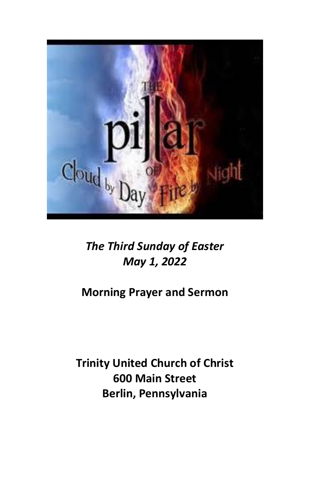

# *The Third Sunday of Easter May 1, 2022*

# **Morning Prayer and Sermon**

**Trinity United Church of Christ 600 Main Street Berlin, Pennsylvania**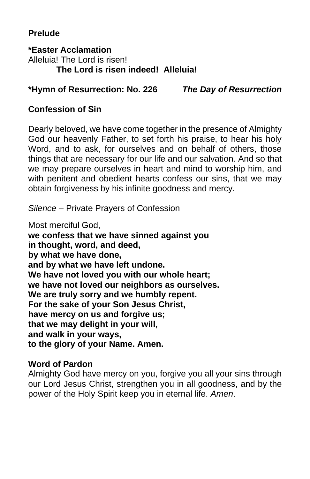# **Prelude**

**\*Easter Acclamation** Alleluia! The Lord is risen! **The Lord is risen indeed! Alleluia!**

#### **\*Hymn of Resurrection: No. 226** *The Day of Resurrection*

## **Confession of Sin**

Dearly beloved, we have come together in the presence of Almighty God our heavenly Father, to set forth his praise, to hear his holy Word, and to ask, for ourselves and on behalf of others, those things that are necessary for our life and our salvation. And so that we may prepare ourselves in heart and mind to worship him, and with penitent and obedient hearts confess our sins, that we may obtain forgiveness by his infinite goodness and mercy.

*Silence* – Private Prayers of Confession

Most merciful God,

**we confess that we have sinned against you in thought, word, and deed, by what we have done, and by what we have left undone. We have not loved you with our whole heart; we have not loved our neighbors as ourselves. We are truly sorry and we humbly repent. For the sake of your Son Jesus Christ, have mercy on us and forgive us; that we may delight in your will, and walk in your ways, to the glory of your Name. Amen.**

### **Word of Pardon**

Almighty God have mercy on you, forgive you all your sins through our Lord Jesus Christ, strengthen you in all goodness, and by the power of the Holy Spirit keep you in eternal life. *Amen*.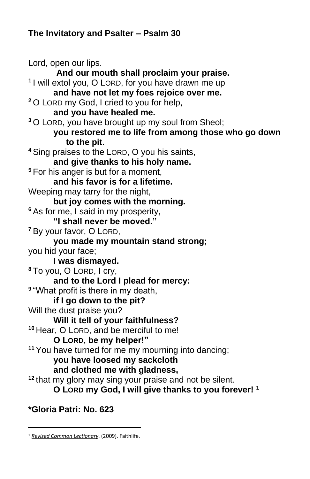# **The Invitatory and Psalter – Psalm 30**

Lord, open our lips. **And our mouth shall proclaim your praise. 1** I will extol you, O LORD, for you have drawn me up **and have not let my foes rejoice over me. <sup>2</sup>** O LORD my God, I cried to you for help, **and you have healed me. <sup>3</sup>** O LORD, you have brought up my soul from Sheol; **you restored me to life from among those who go down to the pit. <sup>4</sup>** Sing praises to the LORD, O you his saints, **and give thanks to his holy name. <sup>5</sup>** For his anger is but for a moment, **and his favor is for a lifetime.**  Weeping may tarry for the night, **but joy comes with the morning. <sup>6</sup>** As for me, I said in my prosperity, **"I shall never be moved." <sup>7</sup>** By your favor, O LORD, **you made my mountain stand strong;**  you hid your face; **I was dismayed. <sup>8</sup>** To you, O LORD, I cry, **and to the Lord I plead for mercy: 9** "What profit is there in my death, **if I go down to the pit?**  Will the dust praise you? **Will it tell of your faithfulness? <sup>10</sup>** Hear, O LORD, and be merciful to me! **O LORD, be my helper!" <sup>11</sup>** You have turned for me my mourning into dancing; **you have loosed my sackcloth and clothed me with gladness, <sup>12</sup>** that my glory may sing your praise and not be silent. **O LORD my God, I will give thanks to you forever! <sup>1</sup>**

# **\*Gloria Patri: No. 623**

<sup>1</sup> *[Revised Common Lectionary](https://ref.ly/logosres/rcl?ref=YearMonthDay.5-1-2022&off=237&ctx=%0a%5b+%5d%0aPSALM%0aPsalm+30%0a~+%0aNEW+TESTAMENT%0aReve)*. (2009). Faithlife.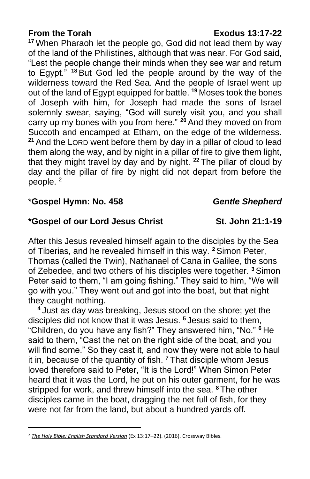**<sup>17</sup>** When Pharaoh let the people go, God did not lead them by way of the land of the Philistines, although that was near. For God said, "Lest the people change their minds when they see war and return to Egypt." **<sup>18</sup>** But God led the people around by the way of the wilderness toward the Red Sea. And the people of Israel went up out of the land of Egypt equipped for battle. **<sup>19</sup>** Moses took the bones of Joseph with him, for Joseph had made the sons of Israel solemnly swear, saying, "God will surely visit you, and you shall carry up my bones with you from here." **<sup>20</sup>** And they moved on from Succoth and encamped at Etham, on the edge of the wilderness. **<sup>21</sup>** And the LORD went before them by day in a pillar of cloud to lead them along the way, and by night in a pillar of fire to give them light, that they might travel by day and by night. **<sup>22</sup>** The pillar of cloud by day and the pillar of fire by night did not depart from before the people. <sup>2</sup>

#### \***Gospel Hymn: No. 458** *Gentle Shepherd*

### **\*Gospel of our Lord Jesus Christ St. John 21:1-19**

After this Jesus revealed himself again to the disciples by the Sea of Tiberias, and he revealed himself in this way. **<sup>2</sup>**Simon Peter, Thomas (called the Twin), Nathanael of Cana in Galilee, the sons of Zebedee, and two others of his disciples were together. **<sup>3</sup>** Simon Peter said to them, "I am going fishing." They said to him, "We will go with you." They went out and got into the boat, but that night they caught nothing.

**<sup>4</sup>** Just as day was breaking, Jesus stood on the shore; yet the disciples did not know that it was Jesus. **<sup>5</sup>** Jesus said to them, "Children, do you have any fish?" They answered him, "No." **<sup>6</sup>** He said to them, "Cast the net on the right side of the boat, and you will find some." So they cast it, and now they were not able to haul it in, because of the quantity of fish. **<sup>7</sup>** That disciple whom Jesus loved therefore said to Peter, "It is the Lord!" When Simon Peter heard that it was the Lord, he put on his outer garment, for he was stripped for work, and threw himself into the sea. **<sup>8</sup>** The other disciples came in the boat, dragging the net full of fish, for they were not far from the land, but about a hundred yards off.

<sup>2</sup> *[The Holy Bible: English Standard Version](https://ref.ly/logosres/esv?ref=BibleESV.Ex13.17&off=26&ctx=s+of+Cloud+and+Fire%0a~17%C2%A0%E2%80%A2%E2%80%A2When+Pharaoh+le)* (Ex 13:17–22). (2016). Crossway Bibles.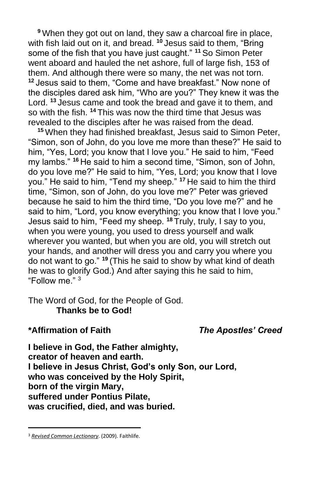**<sup>9</sup>** When they got out on land, they saw a charcoal fire in place, with fish laid out on it, and bread. **<sup>10</sup>** Jesus said to them, "Bring some of the fish that you have just caught." **<sup>11</sup>** So Simon Peter went aboard and hauled the net ashore, full of large fish, 153 of them. And although there were so many, the net was not torn. **<sup>12</sup>** Jesus said to them, "Come and have breakfast." Now none of the disciples dared ask him, "Who are you?" They knew it was the Lord. **<sup>13</sup>** Jesus came and took the bread and gave it to them, and so with the fish. **<sup>14</sup>** This was now the third time that Jesus was revealed to the disciples after he was raised from the dead.

**<sup>15</sup>** When they had finished breakfast, Jesus said to Simon Peter, "Simon, son of John, do you love me more than these?" He said to him, "Yes, Lord; you know that I love you." He said to him, "Feed my lambs." **<sup>16</sup>** He said to him a second time, "Simon, son of John, do you love me?" He said to him, "Yes, Lord; you know that I love you." He said to him, "Tend my sheep." **<sup>17</sup>** He said to him the third time, "Simon, son of John, do you love me?" Peter was grieved because he said to him the third time, "Do you love me?" and he said to him, "Lord, you know everything; you know that I love you." Jesus said to him, "Feed my sheep. **<sup>18</sup>** Truly, truly, I say to you, when you were young, you used to dress yourself and walk wherever you wanted, but when you are old, you will stretch out your hands, and another will dress you and carry you where you do not want to go." **<sup>19</sup>** (This he said to show by what kind of death he was to glorify God.) And after saying this he said to him, "Follow me." <sup>3</sup>

The Word of God, for the People of God. **Thanks be to God!**

#### **\*Affirmation of Faith** *The Apostles' Creed*

**I believe in God, the Father almighty, creator of heaven and earth. I believe in Jesus Christ, God's only Son, our Lord, who was conceived by the Holy Spirit, born of the virgin Mary, suffered under Pontius Pilate, was crucified, died, and was buried.**

<sup>3</sup> *[Revised Common Lectionary](https://ref.ly/logosres/rcl?ref=YearMonthDay.5-1-2022&off=294&ctx=velation+5:11%E2%80%9314%0a+%0aGOSPEL%0aJohn+21:1%E2%80%9319%0a~+)*. (2009). Faithlife.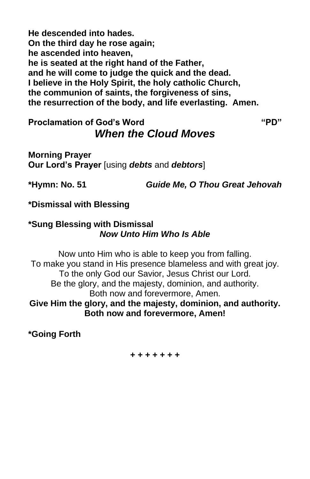**He descended into hades. On the third day he rose again; he ascended into heaven, he is seated at the right hand of the Father, and he will come to judge the quick and the dead. I believe in the Holy Spirit, the holy catholic Church, the communion of saints, the forgiveness of sins, the resurrection of the body, and life everlasting. Amen.**

# **Proclamation of God's Word "PD"** *When the Cloud Moves*

**Morning Prayer Our Lord's Prayer** [using *debts* and *debtors*]

**\*Hymn: No. 51** *Guide Me, O Thou Great Jehovah*

**\*Dismissal with Blessing**

#### **\*Sung Blessing with Dismissal** *Now Unto Him Who Is Able*

Now unto Him who is able to keep you from falling. To make you stand in His presence blameless and with great joy. To the only God our Savior, Jesus Christ our Lord. Be the glory, and the majesty, dominion, and authority. Both now and forevermore, Amen. **Give Him the glory, and the majesty, dominion, and authority. Both now and forevermore, Amen!**

**\*Going Forth**

**+ + + + + + +**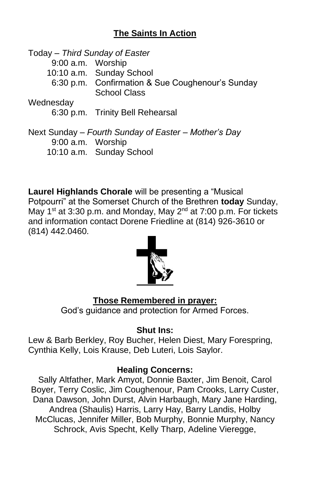# **The Saints In Action**

Today – *Third Sunday of Easter* 9:00 a.m. Worship 10:10 a.m. Sunday School 6:30 p.m. Confirmation & Sue Coughenour's Sunday School Class Wednesday 6:30 p.m. Trinity Bell Rehearsal Next Sunday – *Fourth Sunday of Easter – Mother's Day*

9:00 a.m. Worship

10:10 a.m. Sunday School

**Laurel Highlands Chorale** will be presenting a "Musical Potpourri" at the Somerset Church of the Brethren **today** Sunday, May 1<sup>st</sup> at 3:30 p.m. and Monday, May  $2^{nd}$  at 7:00 p.m. For tickets and information contact Dorene Friedline at (814) 926-3610 or (814) 442.0460.



### **Those Remembered in prayer:**

God's guidance and protection for Armed Forces.

#### **Shut Ins:**

Lew & Barb Berkley, Roy Bucher, Helen Diest, Mary Forespring, Cynthia Kelly, Lois Krause, Deb Luteri, Lois Saylor.

#### **Healing Concerns:**

Sally Altfather, Mark Amyot, Donnie Baxter, Jim Benoit, Carol Boyer, Terry Coslic, Jim Coughenour, Pam Crooks, Larry Custer, Dana Dawson, John Durst, Alvin Harbaugh, Mary Jane Harding, Andrea (Shaulis) Harris, Larry Hay, Barry Landis, Holby McClucas, Jennifer Miller, Bob Murphy, Bonnie Murphy, Nancy Schrock, Avis Specht, Kelly Tharp, Adeline Vieregge,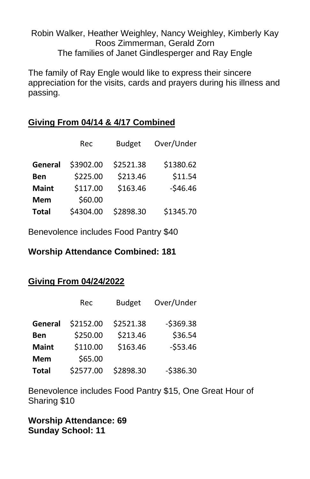#### Robin Walker, Heather Weighley, Nancy Weighley, Kimberly Kay Roos Zimmerman, Gerald Zorn The families of Janet Gindlesperger and Ray Engle

The family of Ray Engle would like to express their sincere appreciation for the visits, cards and prayers during his illness and passing.

# **Giving From 04/14 & 4/17 Combined**

|              | Rec       | <b>Budget</b> | Over/Under |
|--------------|-----------|---------------|------------|
| General      | \$3902.00 | \$2521.38     | \$1380.62  |
| Ben          | \$225.00  | \$213.46      | \$11.54    |
| <b>Maint</b> | \$117.00  | \$163.46      | $-546.46$  |
| Mem          | \$60.00   |               |            |
| <b>Total</b> | \$4304.00 | \$2898.30     | \$1345.70  |

Benevolence includes Food Pantry \$40

### **Worship Attendance Combined: 181**

# **Giving From 04/24/2022**

|              | Rec       | <b>Budget</b> | Over/Under |
|--------------|-----------|---------------|------------|
| General      | \$2152.00 | \$2521.38     | $-5369.38$ |
| Ben          | \$250.00  | \$213.46      | \$36.54    |
| <b>Maint</b> | \$110.00  | \$163.46      | $-553.46$  |
| Mem          | \$65.00   |               |            |
| <b>Total</b> | \$2577.00 | \$2898.30     | $-5386.30$ |

Benevolence includes Food Pantry \$15, One Great Hour of Sharing \$10

**Worship Attendance: 69 Sunday School: 11**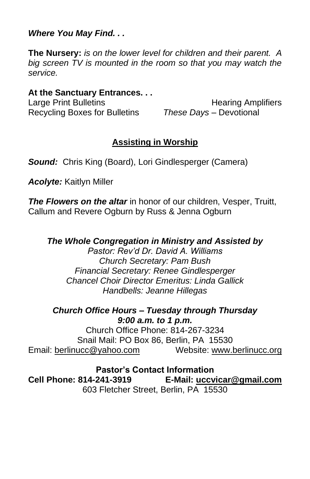*Where You May Find. . .*

**The Nursery:** *is on the lower level for children and their parent. A big screen TV is mounted in the room so that you may watch the service.*

#### **At the Sanctuary Entrances. . .**

Recycling Boxes for Bulletins *These Days –* Devotional

Large Print Bulletins **Example 20** Hearing Amplifiers

# **Assisting in Worship**

**Sound:** Chris King (Board), Lori Gindlesperger (Camera)

*Acolyte:* Kaitlyn Miller

**The Flowers on the altar** in honor of our children, Vesper, Truitt, Callum and Revere Ogburn by Russ & Jenna Ogburn

# *The Whole Congregation in Ministry and Assisted by*

*Pastor: Rev'd Dr. David A. Williams Church Secretary: Pam Bush Financial Secretary: Renee Gindlesperger Chancel Choir Director Emeritus: Linda Gallick Handbells: Jeanne Hillegas*

#### *Church Office Hours – Tuesday through Thursday 9:00 a.m. to 1 p.m.*

Church Office Phone: 814-267-3234 Snail Mail: PO Box 86, Berlin, PA 15530 Email: [berlinucc@yahoo.com](mailto:berlinucc@yahoo.com) Website: [www.berlinucc.org](http://www.berlinucc.org/)

**Pastor's Contact Information Cell Phone: 814-241-3919 E-Mail: [uccvicar@gmail.com](mailto:uccvicar@gmail.com)** 603 Fletcher Street, Berlin, PA 15530